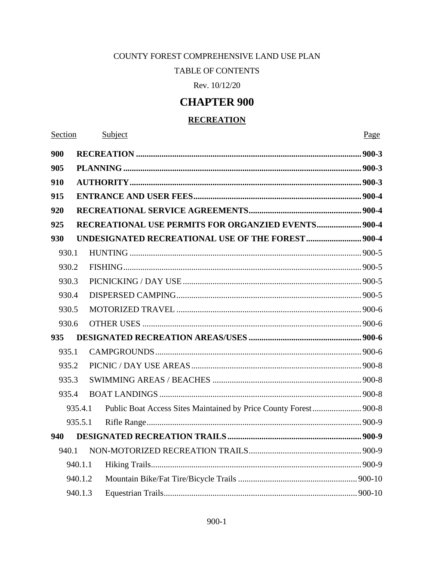## COUNTY FOREST COMPREHENSIVE LAND USE PLAN

# **TABLE OF CONTENTS**

Rev. 10/12/20

# **CHAPTER 900**

## **RECREATION**

Section Subject Page 900 905 910 915 920 **RECREATIONAL USE PERMITS FOR ORGANZIED EVENTS....................... 900-4** 925 930 930.1 930.2 930.3 930.4 930.5 930.6  $935$ 935.1 935.2 SWIMMING AREAS / BEACHES 300-8 935.3 935.4 935.4.1 935.5.1 940 940.1 940.1.1 940.1.2 940.1.3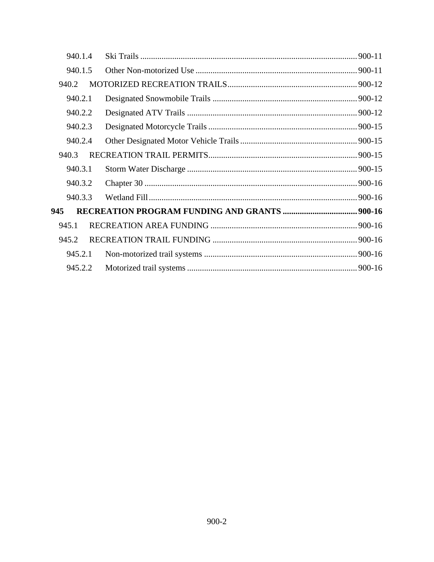| 940.1.4 |  |
|---------|--|
| 940.1.5 |  |
| 940.2   |  |
| 940.2.1 |  |
| 940.2.2 |  |
| 940.2.3 |  |
| 940.2.4 |  |
| 940.3   |  |
| 940.3.1 |  |
| 940.3.2 |  |
| 940.3.3 |  |
| 945     |  |
| 945.1   |  |
| 945.2   |  |
| 945.2.1 |  |
| 945.2.2 |  |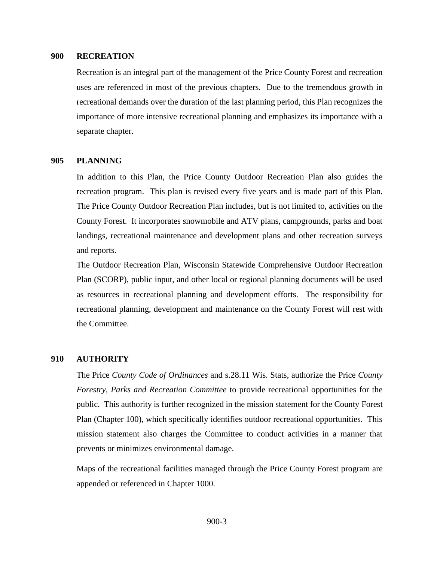#### <span id="page-2-0"></span>**900 RECREATION**

Recreation is an integral part of the management of the Price County Forest and recreation uses are referenced in most of the previous chapters. Due to the tremendous growth in recreational demands over the duration of the last planning period, this Plan recognizes the importance of more intensive recreational planning and emphasizes its importance with a separate chapter.

## <span id="page-2-1"></span>**905 PLANNING**

In addition to this Plan, the Price County Outdoor Recreation Plan also guides the recreation program. This plan is revised every five years and is made part of this Plan. The Price County Outdoor Recreation Plan includes, but is not limited to, activities on the County Forest. It incorporates snowmobile and ATV plans, campgrounds, parks and boat landings, recreational maintenance and development plans and other recreation surveys and reports.

The Outdoor Recreation Plan, Wisconsin Statewide Comprehensive Outdoor Recreation Plan (SCORP), public input, and other local or regional planning documents will be used as resources in recreational planning and development efforts. The responsibility for recreational planning, development and maintenance on the County Forest will rest with the Committee.

#### <span id="page-2-2"></span>**910 AUTHORITY**

The Price *County Code of Ordinances* and s.28.11 Wis. Stats, authorize the Price *County Forestry, Parks and Recreation Committee* to provide recreational opportunities for the public. This authority is further recognized in the mission statement for the County Forest Plan (Chapter 100), which specifically identifies outdoor recreational opportunities. This mission statement also charges the Committee to conduct activities in a manner that prevents or minimizes environmental damage.

Maps of the recreational facilities managed through the Price County Forest program are appended or referenced in Chapter 1000.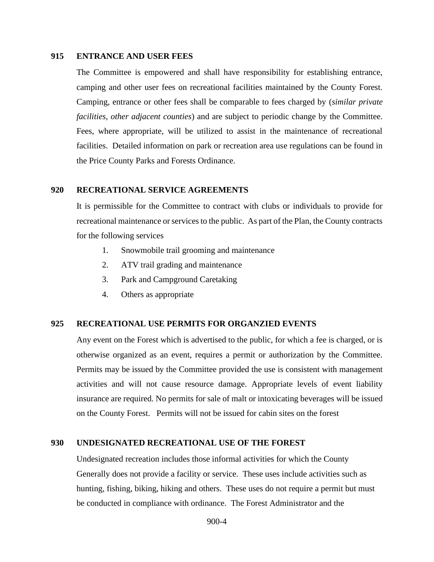## <span id="page-3-0"></span>**915 ENTRANCE AND USER FEES**

The Committee is empowered and shall have responsibility for establishing entrance, camping and other user fees on recreational facilities maintained by the County Forest. Camping, entrance or other fees shall be comparable to fees charged by (*similar private facilities, other adjacent counties*) and are subject to periodic change by the Committee. Fees, where appropriate, will be utilized to assist in the maintenance of recreational facilities. Detailed information on park or recreation area use regulations can be found in the Price County Parks and Forests Ordinance.

#### <span id="page-3-1"></span>**920 RECREATIONAL SERVICE AGREEMENTS**

It is permissible for the Committee to contract with clubs or individuals to provide for recreational maintenance or services to the public. As part of the Plan, the County contracts for the following services

- 1. Snowmobile trail grooming and maintenance
- 2. ATV trail grading and maintenance
- 3. Park and Campground Caretaking
- 4. Others as appropriate

# <span id="page-3-2"></span>**925 RECREATIONAL USE PERMITS FOR ORGANZIED EVENTS**

Any event on the Forest which is advertised to the public, for which a fee is charged, or is otherwise organized as an event, requires a permit or authorization by the Committee. Permits may be issued by the Committee provided the use is consistent with management activities and will not cause resource damage. Appropriate levels of event liability insurance are required. No permits for sale of malt or intoxicating beverages will be issued on the County Forest. Permits will not be issued for cabin sites on the forest

#### <span id="page-3-3"></span>**930 UNDESIGNATED RECREATIONAL USE OF THE FOREST**

Undesignated recreation includes those informal activities for which the County Generally does not provide a facility or service. These uses include activities such as hunting, fishing, biking, hiking and others. These uses do not require a permit but must be conducted in compliance with ordinance. The Forest Administrator and the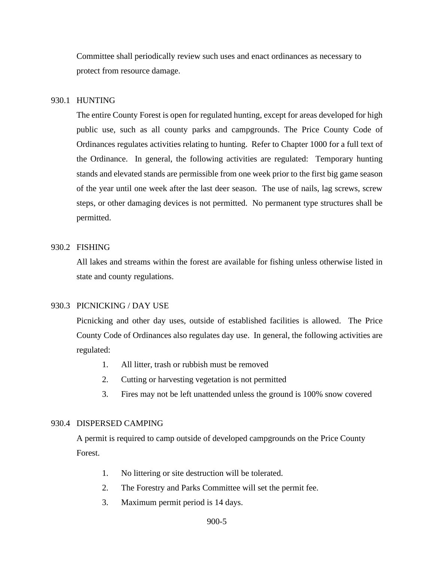Committee shall periodically review such uses and enact ordinances as necessary to protect from resource damage.

# <span id="page-4-0"></span>930.1 HUNTING

The entire County Forest is open for regulated hunting, except for areas developed for high public use, such as all county parks and campgrounds. The Price County Code of Ordinances regulates activities relating to hunting. Refer to Chapter 1000 for a full text of the Ordinance. In general, the following activities are regulated: Temporary hunting stands and elevated stands are permissible from one week prior to the first big game season of the year until one week after the last deer season. The use of nails, lag screws, screw steps, or other damaging devices is not permitted. No permanent type structures shall be permitted.

# <span id="page-4-1"></span>930.2 FISHING

All lakes and streams within the forest are available for fishing unless otherwise listed in state and county regulations.

#### <span id="page-4-2"></span>930.3 PICNICKING / DAY USE

Picnicking and other day uses, outside of established facilities is allowed. The Price County Code of Ordinances also regulates day use. In general, the following activities are regulated:

- 1. All litter, trash or rubbish must be removed
- 2. Cutting or harvesting vegetation is not permitted
- 3. Fires may not be left unattended unless the ground is 100% snow covered

#### <span id="page-4-3"></span>930.4 DISPERSED CAMPING

A permit is required to camp outside of developed campgrounds on the Price County Forest.

- 1. No littering or site destruction will be tolerated.
- 2. The Forestry and Parks Committee will set the permit fee.
- 3. Maximum permit period is 14 days.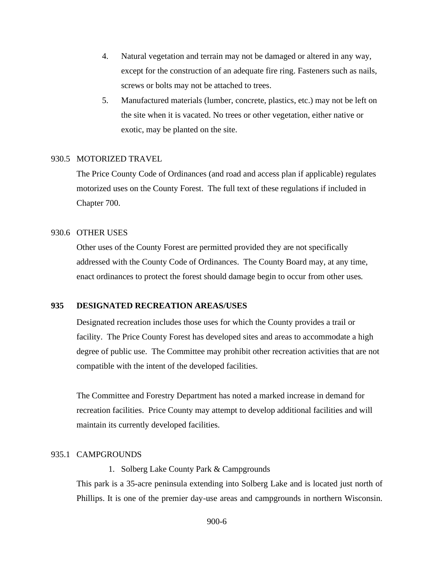- 4. Natural vegetation and terrain may not be damaged or altered in any way, except for the construction of an adequate fire ring. Fasteners such as nails, screws or bolts may not be attached to trees.
- 5. Manufactured materials (lumber, concrete, plastics, etc.) may not be left on the site when it is vacated. No trees or other vegetation, either native or exotic, may be planted on the site.

#### <span id="page-5-0"></span>930.5 MOTORIZED TRAVEL

The Price County Code of Ordinances (and road and access plan if applicable) regulates motorized uses on the County Forest. The full text of these regulations if included in Chapter 700.

## <span id="page-5-1"></span>930.6 OTHER USES

Other uses of the County Forest are permitted provided they are not specifically addressed with the County Code of Ordinances. The County Board may, at any time, enact ordinances to protect the forest should damage begin to occur from other uses*.*

## <span id="page-5-2"></span>**935 DESIGNATED RECREATION AREAS/USES**

Designated recreation includes those uses for which the County provides a trail or facility. The Price County Forest has developed sites and areas to accommodate a high degree of public use. The Committee may prohibit other recreation activities that are not compatible with the intent of the developed facilities.

The Committee and Forestry Department has noted a marked increase in demand for recreation facilities. Price County may attempt to develop additional facilities and will maintain its currently developed facilities.

# <span id="page-5-3"></span>935.1 CAMPGROUNDS

1. Solberg Lake County Park & Campgrounds

This park is a 35-acre peninsula extending into Solberg Lake and is located just north of Phillips. It is one of the premier day-use areas and campgrounds in northern Wisconsin.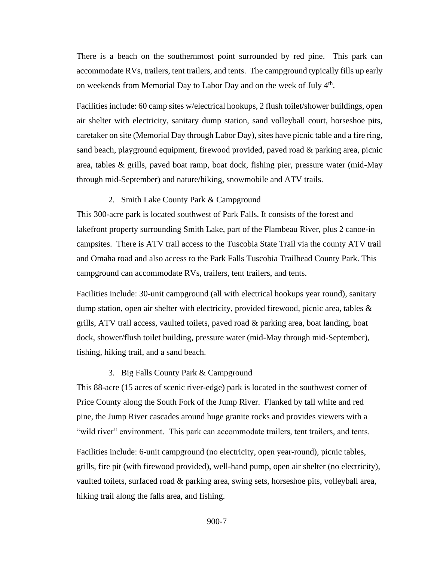There is a beach on the southernmost point surrounded by red pine. This park can accommodate RVs, trailers, tent trailers, and tents. The campground typically fills up early on weekends from Memorial Day to Labor Day and on the week of July 4<sup>th</sup>.

Facilities include: 60 camp sites w/electrical hookups, 2 flush toilet/shower buildings, open air shelter with electricity, sanitary dump station, sand volleyball court, horseshoe pits, caretaker on site (Memorial Day through Labor Day), sites have picnic table and a fire ring, sand beach, playground equipment, firewood provided, paved road  $\&$  parking area, picnic area, tables & grills, paved boat ramp, boat dock, fishing pier, pressure water (mid-May through mid-September) and nature/hiking, snowmobile and ATV trails.

## 2. Smith Lake County Park & Campground

This 300-acre park is located southwest of Park Falls. It consists of the forest and lakefront property surrounding Smith Lake, part of the Flambeau River, plus 2 canoe-in campsites. There is ATV trail access to the Tuscobia State Trail via the county ATV trail and Omaha road and also access to the Park Falls Tuscobia Trailhead County Park. This campground can accommodate RVs, trailers, tent trailers, and tents.

Facilities include: 30-unit campground (all with electrical hookups year round), sanitary dump station, open air shelter with electricity, provided firewood, picnic area, tables  $\&$ grills, ATV trail access, vaulted toilets, paved road & parking area, boat landing, boat dock, shower/flush toilet building, pressure water (mid-May through mid-September), fishing, hiking trail, and a sand beach.

#### 3. Big Falls County Park & Campground

This 88-acre (15 acres of scenic river-edge) park is located in the southwest corner of Price County along the South Fork of the Jump River. Flanked by tall white and red pine, the Jump River cascades around huge granite rocks and provides viewers with a "wild river" environment. This park can accommodate trailers, tent trailers, and tents.

Facilities include: 6-unit campground (no electricity, open year-round), picnic tables, grills, fire pit (with firewood provided), well-hand pump, open air shelter (no electricity), vaulted toilets, surfaced road & parking area, swing sets, horseshoe pits, volleyball area, hiking trail along the falls area, and fishing.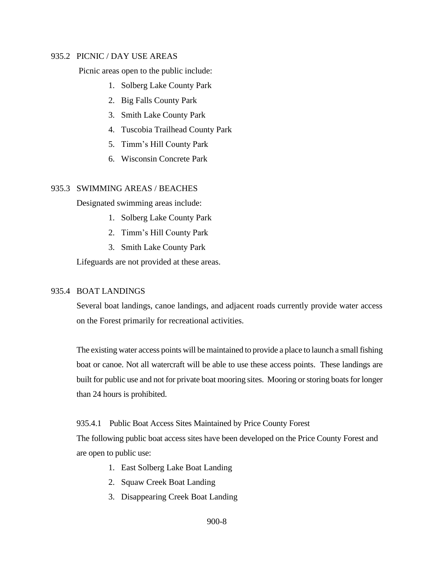## <span id="page-7-0"></span>935.2 PICNIC / DAY USE AREAS

Picnic areas open to the public include:

- 1. Solberg Lake County Park
- 2. Big Falls County Park
- 3. Smith Lake County Park
- 4. Tuscobia Trailhead County Park
- 5. Timm's Hill County Park
- 6. Wisconsin Concrete Park

# <span id="page-7-1"></span>935.3 SWIMMING AREAS / BEACHES

Designated swimming areas include:

- 1. Solberg Lake County Park
- 2. Timm's Hill County Park
- 3. Smith Lake County Park

Lifeguards are not provided at these areas.

# <span id="page-7-2"></span>935.4 BOAT LANDINGS

Several boat landings, canoe landings, and adjacent roads currently provide water access on the Forest primarily for recreational activities.

The existing water access points will be maintained to provide a place to launch a small fishing boat or canoe. Not all watercraft will be able to use these access points. These landings are built for public use and not for private boat mooring sites. Mooring or storing boats for longer than 24 hours is prohibited.

### <span id="page-7-3"></span>935.4.1 Public Boat Access Sites Maintained by Price County Forest

The following public boat access sites have been developed on the Price County Forest and are open to public use:

- 1. East Solberg Lake Boat Landing
- 2. Squaw Creek Boat Landing
- 3. Disappearing Creek Boat Landing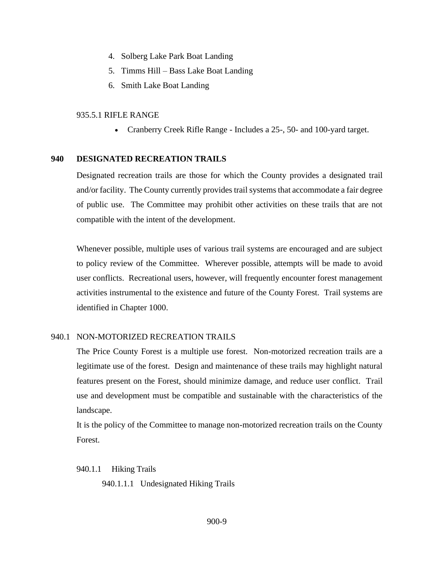- 4. Solberg Lake Park Boat Landing
- 5. Timms Hill Bass Lake Boat Landing
- 6. Smith Lake Boat Landing

## <span id="page-8-0"></span>935.5.1 RIFLE RANGE

• Cranberry Creek Rifle Range - Includes a 25-, 50- and 100-yard target.

## <span id="page-8-1"></span>**940 DESIGNATED RECREATION TRAILS**

Designated recreation trails are those for which the County provides a designated trail and/or facility. The County currently provides trail systems that accommodate a fair degree of public use. The Committee may prohibit other activities on these trails that are not compatible with the intent of the development.

Whenever possible, multiple uses of various trail systems are encouraged and are subject to policy review of the Committee. Wherever possible, attempts will be made to avoid user conflicts. Recreational users, however, will frequently encounter forest management activities instrumental to the existence and future of the County Forest. Trail systems are identified in Chapter 1000.

# <span id="page-8-2"></span>940.1 NON-MOTORIZED RECREATION TRAILS

The Price County Forest is a multiple use forest. Non-motorized recreation trails are a legitimate use of the forest. Design and maintenance of these trails may highlight natural features present on the Forest, should minimize damage, and reduce user conflict. Trail use and development must be compatible and sustainable with the characteristics of the landscape.

It is the policy of the Committee to manage non-motorized recreation trails on the County Forest.

<span id="page-8-3"></span>940.1.1 Hiking Trails

940.1.1.1 Undesignated Hiking Trails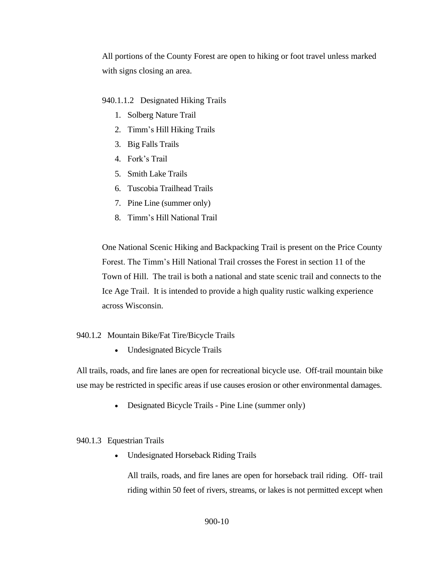All portions of the County Forest are open to hiking or foot travel unless marked with signs closing an area.

940.1.1.2 Designated Hiking Trails

- 1. Solberg Nature Trail
- 2. Timm's Hill Hiking Trails
- 3. Big Falls Trails
- 4. Fork's Trail
- 5. Smith Lake Trails
- 6. Tuscobia Trailhead Trails
- 7. Pine Line (summer only)
- 8. Timm's Hill National Trail

One National Scenic Hiking and Backpacking Trail is present on the Price County Forest. The Timm's Hill National Trail crosses the Forest in section 11 of the Town of Hill. The trail is both a national and state scenic trail and connects to the Ice Age Trail. It is intended to provide a high quality rustic walking experience across Wisconsin.

#### <span id="page-9-0"></span>940.1.2 Mountain Bike/Fat Tire/Bicycle Trails

• Undesignated Bicycle Trails

All trails, roads, and fire lanes are open for recreational bicycle use. Off-trail mountain bike use may be restricted in specific areas if use causes erosion or other environmental damages.

• Designated Bicycle Trails - Pine Line (summer only)

## <span id="page-9-1"></span>940.1.3 Equestrian Trails

• Undesignated Horseback Riding Trails

All trails, roads, and fire lanes are open for horseback trail riding. Off- trail riding within 50 feet of rivers, streams, or lakes is not permitted except when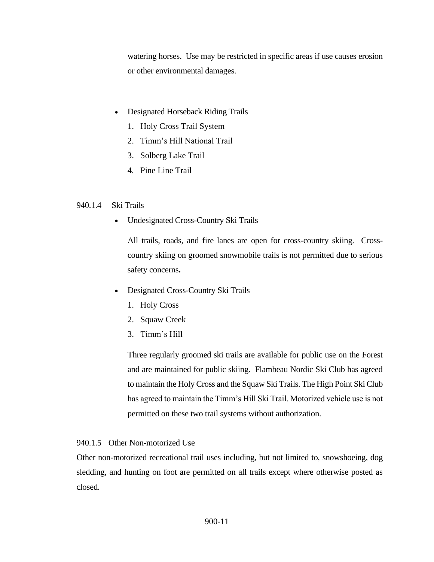watering horses. Use may be restricted in specific areas if use causes erosion or other environmental damages.

- Designated Horseback Riding Trails
	- 1. Holy Cross Trail System
	- 2. Timm's Hill National Trail
	- 3. Solberg Lake Trail
	- 4. Pine Line Trail

# <span id="page-10-0"></span>940.1.4 Ski Trails

• Undesignated Cross-Country Ski Trails

All trails, roads, and fire lanes are open for cross-country skiing. Crosscountry skiing on groomed snowmobile trails is not permitted due to serious safety concerns**.**

- Designated Cross-Country Ski Trails
	- 1. Holy Cross
	- 2. Squaw Creek
	- 3. Timm's Hill

Three regularly groomed ski trails are available for public use on the Forest and are maintained for public skiing. Flambeau Nordic Ski Club has agreed to maintain the Holy Cross and the Squaw Ski Trails. The High Point Ski Club has agreed to maintain the Timm's Hill Ski Trail. Motorized vehicle use is not permitted on these two trail systems without authorization.

# <span id="page-10-1"></span>940.1.5 Other Non-motorized Use

Other non-motorized recreational trail uses including, but not limited to, snowshoeing, dog sledding, and hunting on foot are permitted on all trails except where otherwise posted as closed.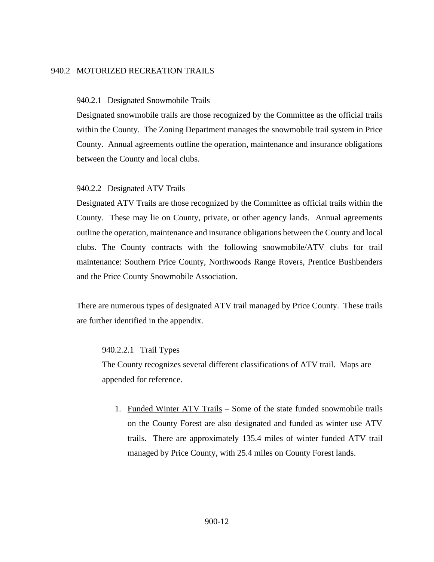# <span id="page-11-0"></span>940.2 MOTORIZED RECREATION TRAILS

### <span id="page-11-1"></span>940.2.1 Designated Snowmobile Trails

Designated snowmobile trails are those recognized by the Committee as the official trails within the County. The Zoning Department manages the snowmobile trail system in Price County. Annual agreements outline the operation, maintenance and insurance obligations between the County and local clubs.

## <span id="page-11-2"></span>940.2.2 Designated ATV Trails

Designated ATV Trails are those recognized by the Committee as official trails within the County. These may lie on County, private, or other agency lands. Annual agreements outline the operation, maintenance and insurance obligations between the County and local clubs. The County contracts with the following snowmobile/ATV clubs for trail maintenance: Southern Price County, Northwoods Range Rovers, Prentice Bushbenders and the Price County Snowmobile Association.

There are numerous types of designated ATV trail managed by Price County. These trails are further identified in the appendix.

### 940.2.2.1 Trail Types

The County recognizes several different classifications of ATV trail. Maps are appended for reference.

1. Funded Winter ATV Trails – Some of the state funded snowmobile trails on the County Forest are also designated and funded as winter use ATV trails. There are approximately 135.4 miles of winter funded ATV trail managed by Price County, with 25.4 miles on County Forest lands.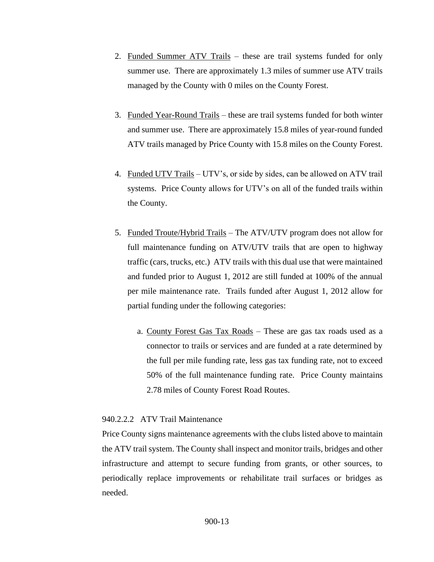- 2. Funded Summer ATV Trails these are trail systems funded for only summer use. There are approximately 1.3 miles of summer use ATV trails managed by the County with 0 miles on the County Forest.
- 3. Funded Year-Round Trails these are trail systems funded for both winter and summer use. There are approximately 15.8 miles of year-round funded ATV trails managed by Price County with 15.8 miles on the County Forest.
- 4. Funded UTV Trails UTV's, or side by sides, can be allowed on ATV trail systems. Price County allows for UTV's on all of the funded trails within the County.
- 5. Funded Troute/Hybrid Trails The ATV/UTV program does not allow for full maintenance funding on ATV/UTV trails that are open to highway traffic (cars, trucks, etc.) ATV trails with this dual use that were maintained and funded prior to August 1, 2012 are still funded at 100% of the annual per mile maintenance rate. Trails funded after August 1, 2012 allow for partial funding under the following categories:
	- a. County Forest Gas Tax Roads These are gas tax roads used as a connector to trails or services and are funded at a rate determined by the full per mile funding rate, less gas tax funding rate, not to exceed 50% of the full maintenance funding rate. Price County maintains 2.78 miles of County Forest Road Routes.

## 940.2.2.2 ATV Trail Maintenance

Price County signs maintenance agreements with the clubs listed above to maintain the ATV trail system. The County shall inspect and monitor trails, bridges and other infrastructure and attempt to secure funding from grants, or other sources, to periodically replace improvements or rehabilitate trail surfaces or bridges as needed.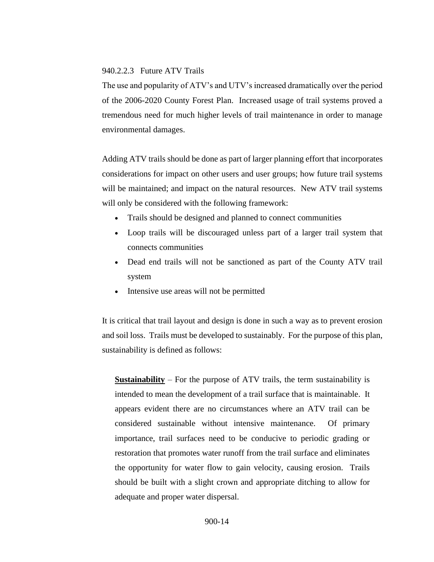#### 940.2.2.3 Future ATV Trails

The use and popularity of ATV's and UTV's increased dramatically over the period of the 2006-2020 County Forest Plan. Increased usage of trail systems proved a tremendous need for much higher levels of trail maintenance in order to manage environmental damages.

Adding ATV trails should be done as part of larger planning effort that incorporates considerations for impact on other users and user groups; how future trail systems will be maintained; and impact on the natural resources. New ATV trail systems will only be considered with the following framework:

- Trails should be designed and planned to connect communities
- Loop trails will be discouraged unless part of a larger trail system that connects communities
- Dead end trails will not be sanctioned as part of the County ATV trail system
- Intensive use areas will not be permitted

It is critical that trail layout and design is done in such a way as to prevent erosion and soil loss. Trails must be developed to sustainably. For the purpose of this plan, sustainability is defined as follows:

**Sustainability** – For the purpose of ATV trails, the term sustainability is intended to mean the development of a trail surface that is maintainable. It appears evident there are no circumstances where an ATV trail can be considered sustainable without intensive maintenance. Of primary importance, trail surfaces need to be conducive to periodic grading or restoration that promotes water runoff from the trail surface and eliminates the opportunity for water flow to gain velocity, causing erosion. Trails should be built with a slight crown and appropriate ditching to allow for adequate and proper water dispersal.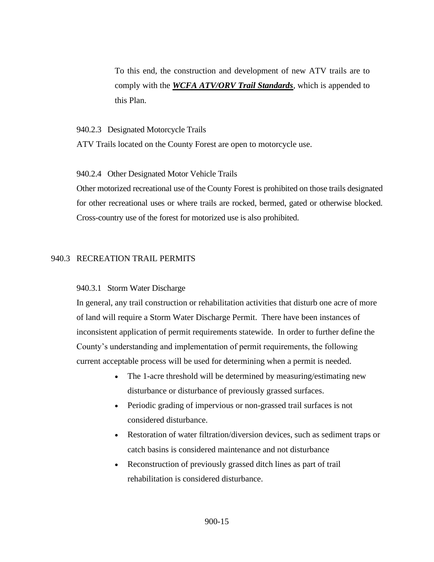To this end, the construction and development of new ATV trails are to comply with the *WCFA ATV/ORV Trail Standards*, which is appended to this Plan.

#### <span id="page-14-0"></span>940.2.3 Designated Motorcycle Trails

ATV Trails located on the County Forest are open to motorcycle use.

### <span id="page-14-1"></span>940.2.4 Other Designated Motor Vehicle Trails

Other motorized recreational use of the County Forest is prohibited on those trails designated for other recreational uses or where trails are rocked, bermed, gated or otherwise blocked. Cross-country use of the forest for motorized use is also prohibited.

# <span id="page-14-2"></span>940.3 RECREATION TRAIL PERMITS

### <span id="page-14-3"></span>940.3.1 Storm Water Discharge

In general, any trail construction or rehabilitation activities that disturb one acre of more of land will require a Storm Water Discharge Permit. There have been instances of inconsistent application of permit requirements statewide. In order to further define the County's understanding and implementation of permit requirements, the following current acceptable process will be used for determining when a permit is needed.

- The 1-acre threshold will be determined by measuring/estimating new disturbance or disturbance of previously grassed surfaces.
- Periodic grading of impervious or non-grassed trail surfaces is not considered disturbance.
- Restoration of water filtration/diversion devices, such as sediment traps or catch basins is considered maintenance and not disturbance
- Reconstruction of previously grassed ditch lines as part of trail rehabilitation is considered disturbance.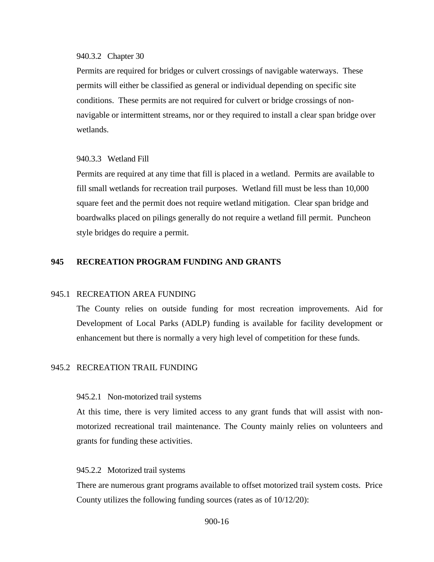#### <span id="page-15-0"></span>940.3.2 Chapter 30

Permits are required for bridges or culvert crossings of navigable waterways. These permits will either be classified as general or individual depending on specific site conditions. These permits are not required for culvert or bridge crossings of nonnavigable or intermittent streams, nor or they required to install a clear span bridge over wetlands.

### <span id="page-15-1"></span>940.3.3 Wetland Fill

Permits are required at any time that fill is placed in a wetland. Permits are available to fill small wetlands for recreation trail purposes. Wetland fill must be less than 10,000 square feet and the permit does not require wetland mitigation. Clear span bridge and boardwalks placed on pilings generally do not require a wetland fill permit. Puncheon style bridges do require a permit.

# <span id="page-15-2"></span>**945 RECREATION PROGRAM FUNDING AND GRANTS**

#### <span id="page-15-3"></span>945.1 RECREATION AREA FUNDING

The County relies on outside funding for most recreation improvements. Aid for Development of Local Parks (ADLP) funding is available for facility development or enhancement but there is normally a very high level of competition for these funds.

## <span id="page-15-4"></span>945.2 RECREATION TRAIL FUNDING

#### <span id="page-15-5"></span>945.2.1 Non-motorized trail systems

At this time, there is very limited access to any grant funds that will assist with nonmotorized recreational trail maintenance. The County mainly relies on volunteers and grants for funding these activities.

#### <span id="page-15-6"></span>945.2.2 Motorized trail systems

There are numerous grant programs available to offset motorized trail system costs. Price County utilizes the following funding sources (rates as of 10/12/20):